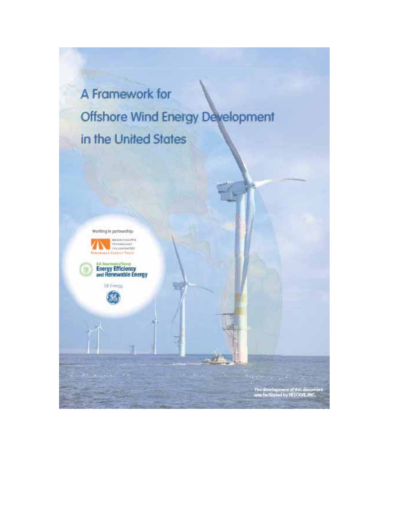A Framework for Offshore Wind Energy Development in the United States

Ξī

Working in partnership:







tan an Inggr

The development of this document<br>was facilitated by PESOU/E, INC.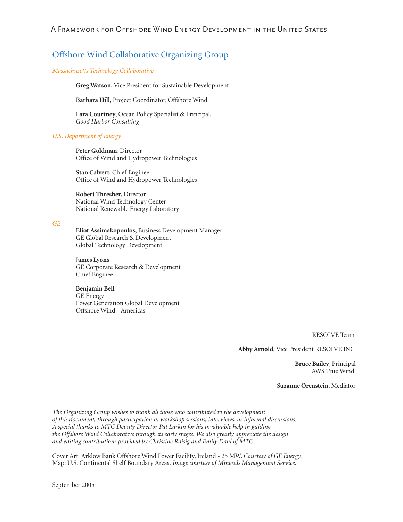## **Offshore Wind Collaborative Organizing Group**

#### Massachusetts Technology Collaborative

Greg Watson, Vice President for Sustainable Development

Barbara Hill, Project Coordinator, Offshore Wind

Fara Courtney, Ocean Policy Specialist & Principal, Good Harbor Consulting

#### **U.S. Department of Energy**

Peter Goldman, Director Office of Wind and Hydropower Technologies

Stan Calvert, Chief Engineer Office of Wind and Hydropower Technologies

Robert Thresher, Director National Wind Technology Center National Renewable Energy Laboratory

#### $GE$

Eliot Assimakopoulos, Business Development Manager GE Global Research & Development Global Technology Development

#### **James Lyons**

GE Corporate Research & Development Chief Engineer

#### **Benjamin Bell**

**GE** Energy Power Generation Global Development Offshore Wind - Americas

RESOLVE Team

Abby Arnold, Vice President RESOLVE INC

**Bruce Bailey**, Principal AWS True Wind

Suzanne Orenstein, Mediator

The Organizing Group wishes to thank all those who contributed to the development of this document, through participation in workshop sessions, interviews, or informal discussions. A special thanks to MTC Deputy Director Pat Larkin for his invaluable help in guiding the Offshore Wind Collaborative through its early stages. We also greatly appreciate the design and editing contributions provided by Christine Raisig and Emily Dahl of MTC.

Cover Art: Arklow Bank Offshore Wind Power Facility, Ireland - 25 MW. Courtesy of GE Energy. Map: U.S. Continental Shelf Boundary Areas. Image courtesy of Minerals Management Service.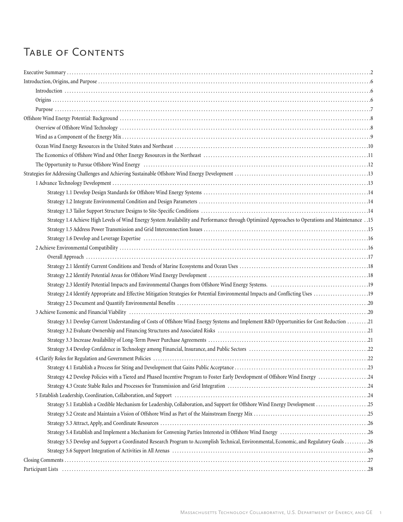# Table of Contents

| 15. Strategy 1.4 Achieve High Levels of Wind Energy System Availability and Performance through Optimized Approaches to Operations and Maintenance . 15                                                                        |  |
|--------------------------------------------------------------------------------------------------------------------------------------------------------------------------------------------------------------------------------|--|
|                                                                                                                                                                                                                                |  |
|                                                                                                                                                                                                                                |  |
|                                                                                                                                                                                                                                |  |
|                                                                                                                                                                                                                                |  |
|                                                                                                                                                                                                                                |  |
|                                                                                                                                                                                                                                |  |
|                                                                                                                                                                                                                                |  |
| Strategy 2.4 Identify Appropriate and Effective Mitigation Strategies for Potential Environmental Impacts and Conflicting Uses                                                                                                 |  |
|                                                                                                                                                                                                                                |  |
|                                                                                                                                                                                                                                |  |
| Strategy 3.1 Develop Current Understanding of Costs of Offshore Wind Energy Systems and Implement R&D Opportunities for Cost Reduction 21                                                                                      |  |
|                                                                                                                                                                                                                                |  |
|                                                                                                                                                                                                                                |  |
|                                                                                                                                                                                                                                |  |
|                                                                                                                                                                                                                                |  |
|                                                                                                                                                                                                                                |  |
| Strategy 4.2 Develop Policies with a Tiered and Phased Incentive Program to Foster Early Development of Offshore Wind Energy 24                                                                                                |  |
|                                                                                                                                                                                                                                |  |
| 5 Establish Leadership, Coordination, Collaboration, and Support (and content to content the content of the content of the content of the content of the content of the content of the content of the content of the content o |  |
| Strategy 5.1 Establish a Credible Mechanism for Leadership, Collaboration, and Support for Offshore Wind Energy Development 25                                                                                                 |  |
|                                                                                                                                                                                                                                |  |
|                                                                                                                                                                                                                                |  |
|                                                                                                                                                                                                                                |  |
|                                                                                                                                                                                                                                |  |
| Strategy 5.5 Develop and Support a Coordinated Research Program to Accomplish Technical, Environmental, Economic, and Regulatory Goals 26                                                                                      |  |
|                                                                                                                                                                                                                                |  |
|                                                                                                                                                                                                                                |  |
|                                                                                                                                                                                                                                |  |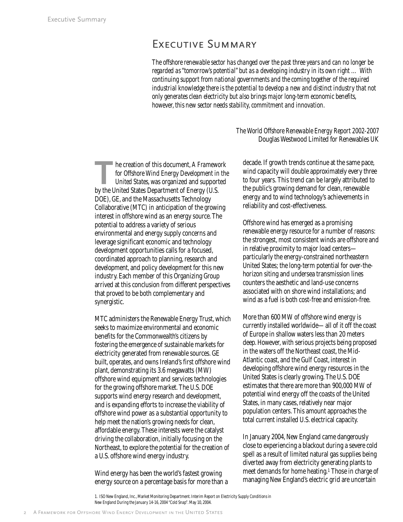## EXECUTIVE SUMMARY

*The offshore renewable sector has changed over the past three years and can no longer be regarded as "tomorrow's potential" but as a developing industry in its own right … With continuing support from national governments and the coming together of the required industrial knowledge there is the potential to develop a new and distinct industry that not only generates clean electricity but also brings major long-term economic benefits, however, this new sector needs stability, commitment and innovation.*

#### *The World Offshore Renewable Energy Report 2002-2007*  Douglas Westwood Limited for Renewables UK

**The creation of this document,** *A Framework***<br>for Offshore Wind Energy Development in the United States, was organized and supported<br>by the United States Department of Energy (U.S.** *for Offshore Wind Energy Development in the United States*, was organized and supported by the United States Department of Energy (U.S. DOE), GE, and the Massachusetts Technology Collaborative (MTC) in anticipation of the growing interest in offshore wind as an energy source. The potential to address a variety of serious environmental and energy supply concerns and leverage significant economic and technology development opportunities calls for a focused, coordinated approach to planning, research and development, and policy development for this new industry. Each member of this Organizing Group arrived at this conclusion from different perspectives that proved to be both complementary and synergistic.

MTC administers the Renewable Energy Trust, which seeks to maximize environmental and economic benefits for the Commonwealth's citizens by fostering the emergence of sustainable markets for electricity generated from renewable sources. GE built, operates, and owns Ireland's first offshore wind plant, demonstrating its 3.6 megawatts (MW) offshore wind equipment and services technologies for the growing offshore market. The U.S. DOE supports wind energy research and development, and is expanding efforts to increase the viability of offshore wind power as a substantial opportunity to help meet the nation's growing needs for clean, affordable energy. These interests were the catalyst driving the collaboration, initially focusing on the Northeast, to explore the potential for the creation of a U.S. offshore wind energy industry.

Wind energy has been the world's fastest growing energy source on a percentage basis for more than a

decade. If growth trends continue at the same pace, wind capacity will double approximately every three to four years. This trend can be largely attributed to the public's growing demand for clean, renewable energy and to wind technology's achievements in reliability and cost-effectiveness.

Offshore wind has emerged as a promising renewable energy resource for a number of reasons: the strongest, most consistent winds are offshore and in relative proximity to major load centers particularly the energy-constrained northeastern United States; the long-term potential for over-thehorizon siting and undersea transmission lines counters the aesthetic and land-use concerns associated with on shore wind installations; and wind as a fuel is both cost-free and emission-free.

More than 600 MW of offshore wind energy is currently installed worldwide—all of it off the coast of Europe in shallow waters less than 20 meters deep. However, with serious projects being proposed in the waters off the Northeast coast, the Mid-Atlantic coast, and the Gulf Coast, interest in developing offshore wind energy resources in the United States is clearly growing. The U.S. DOE estimates that there are more than 900,000 MW of potential wind energy off the coasts of the United States, in many cases, relatively near major population centers. This amount approaches the total current installed U.S. electrical capacity.

In January 2004, New England came dangerously close to experiencing a blackout during a severe cold spell as a result of limited natural gas supplies being diverted away from electricity generating plants to meet demands for home heating.1 Those in charge of managing New England's electric grid are uncertain

1. ISO New England, Inc., Market Monitoring Department.*Interim Report on Electricity Supply Conditions in New England During the January 14-16, 2004 "Cold Snap"*. May 10, 2004.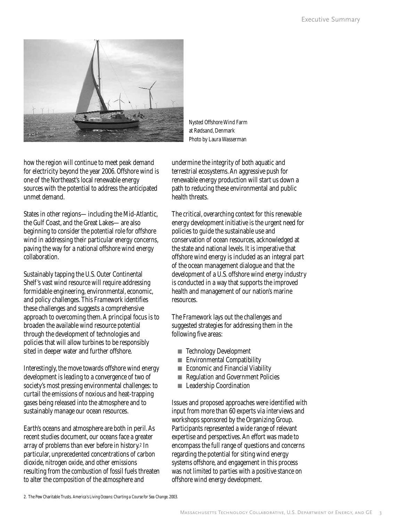

Nysted Offshore Wind Farm at Rødsand, Denmark Photo by Laura Wasserman

how the region will continue to meet peak demand for electricity beyond the year 2006. Offshore wind is one of the Northeast's local renewable energy sources with the potential to address the anticipated unmet demand.

States in other regions—including the Mid-Atlantic, the Gulf Coast, and the Great Lakes—are also beginning to consider the potential role for offshore wind in addressing their particular energy concerns, paving the way for a national offshore wind energy collaboration.

Sustainably tapping the U.S. Outer Continental Shelf 's vast wind resource will require addressing formidable engineering, environmental, economic, and policy challenges. This *Framework* identifies these challenges and suggests a comprehensive approach to overcoming them. A principal focus is to broaden the available wind resource potential through the development of technologies and policies that will allow turbines to be responsibly sited in deeper water and further offshore.

Interestingly, the move towards offshore wind energy development is leading to a convergence of two of society's most pressing environmental challenges: to curtail the emissions of noxious and heat-trapping gases being released into the atmosphere and to sustainably manage our ocean resources.

Earth's oceans and atmosphere are both in peril. As recent studies document, our oceans face a greater array of problems than ever before in history.2 In particular, unprecedented concentrations of carbon dioxide, nitrogen oxide, and other emissions resulting from the combustion of fossil fuels threaten to alter the composition of the atmosphere and

undermine the integrity of both aquatic and terrestrial ecosystems. An aggressive push for renewable energy production will start us down a path to reducing these environmental and public health threats.

The critical, overarching context for this renewable energy development initiative is the urgent need for policies to guide the sustainable use and conservation of ocean resources, acknowledged at the state and national levels. It is imperative that offshore wind energy is included as an integral part of the ocean management dialogue and that the development of a U.S. offshore wind energy industry is conducted in a way that supports the improved health and management of our nation's marine resources.

The *Framework* lays out the challenges and suggested strategies for addressing them in the following five areas:

- Technology Development
- Environmental Compatibility
- Economic and Financial Viability
- Regulation and Government Policies
- Leadership Coordination

Issues and proposed approaches were identified with input from more than 60 experts via interviews and workshops sponsored by the Organizing Group. Participants represented a wide range of relevant expertise and perspectives. An effort was made to encompass the full range of questions and concerns regarding the potential for siting wind energy systems offshore, and engagement in this process was not limited to parties with a positive stance on offshore wind energy development.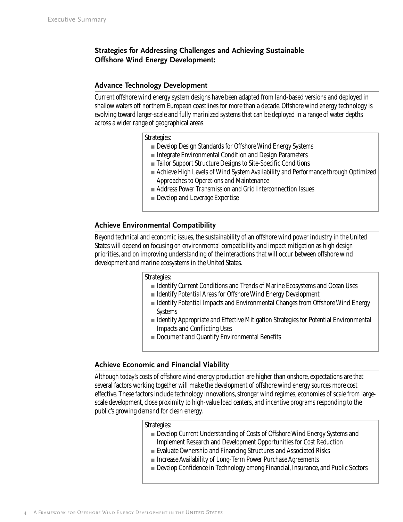## **Strategies for Addressing Challenges and Achieving Sustainable Offshore Wind Energy Development:**

#### **Advance Technology Development**

Current offshore wind energy system designs have been adapted from land-based versions and deployed in shallow waters off northern European coastlines for more than a decade. Offshore wind energy technology is evolving toward larger-scale and fully marinized systems that can be deployed in a range of water depths across a wider range of geographical areas.

Strategies:

- Develop Design Standards for Offshore Wind Energy Systems
- Integrate Environmental Condition and Design Parameters
- Tailor Support Structure Designs to Site-Specific Conditions
- Achieve High Levels of Wind System Availability and Performance through Optimized Approaches to Operations and Maintenance
- Address Power Transmission and Grid Interconnection Issues
- Develop and Leverage Expertise

## **Achieve Environmental Compatibility**

Beyond technical and economic issues, the sustainability of an offshore wind power industry in the United States will depend on focusing on environmental compatibility and impact mitigation as high design priorities, and on improving understanding of the interactions that will occur between offshore wind development and marine ecosystems in the United States.

Strategies:

- Identify Current Conditions and Trends of Marine Ecosystems and Ocean Uses
- Identify Potential Areas for Offshore Wind Energy Development
- Identify Potential Impacts and Environmental Changes from Offshore Wind Energy **Systems**
- Identify Appropriate and Effective Mitigation Strategies for Potential Environmental Impacts and Conflicting Uses
- Document and Quantify Environmental Benefits

## **Achieve Economic and Financial Viability**

Although today's costs of offshore wind energy production are higher than onshore, expectations are that several factors working together will make the development of offshore wind energy sources more cost effective. These factors include technology innovations, stronger wind regimes, economies of scale from largescale development, close proximity to high-value load centers, and incentive programs responding to the public's growing demand for clean energy.

Strategies:

- Develop Current Understanding of Costs of Offshore Wind Energy Systems and Implement Research and Development Opportunities for Cost Reduction
- Evaluate Ownership and Financing Structures and Associated Risks
- Increase Availability of Long-Term Power Purchase Agreements
- Develop Confidence in Technology among Financial, Insurance, and Public Sectors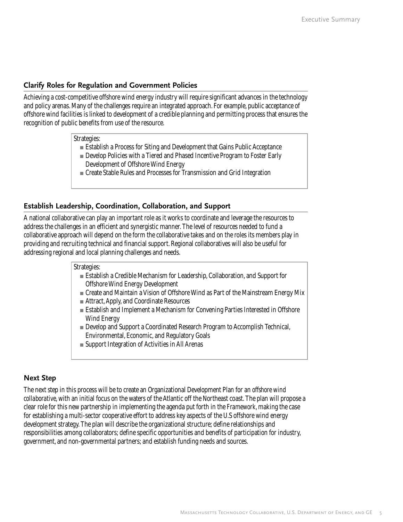## **Clarify Roles for Regulation and Government Policies**

Achieving a cost-competitive offshore wind energy industry will require significant advances in the technology and policy arenas. Many of the challenges require an integrated approach. For example, public acceptance of offshore wind facilities is linked to development of a credible planning and permitting process that ensures the recognition of public benefits from use of the resource.

Strategies:

- Establish a Process for Siting and Development that Gains Public Acceptance
- Develop Policies with a Tiered and Phased Incentive Program to Foster Early Development of Offshore Wind Energy
- Create Stable Rules and Processes for Transmission and Grid Integration

## **Establish Leadership, Coordination, Collaboration, and Support**

A national collaborative can play an important role as it works to coordinate and leverage the resources to address the challenges in an efficient and synergistic manner. The level of resources needed to fund a collaborative approach will depend on the form the collaborative takes and on the roles its members play in providing and recruiting technical and financial support. Regional collaboratives will also be useful for addressing regional and local planning challenges and needs.

#### Strategies:

- Establish a Credible Mechanism for Leadership, Collaboration, and Support for Offshore Wind Energy Development
- Create and Maintain a Vision of Offshore Wind as Part of the Mainstream Energy Mix
- Attract, Apply, and Coordinate Resources
- Establish and Implement a Mechanism for Convening Parties Interested in Offshore Wind Energy
- Develop and Support a Coordinated Research Program to Accomplish Technical, Environmental, Economic, and Regulatory Goals
- Support Integration of Activities in All Arenas

#### **Next Step**

The next step in this process will be to create an Organizational Development Plan for an *offshore wind collaborative*, with an initial focus on the waters of the Atlantic off the Northeast coast. The plan will propose a clear role for this new partnership in implementing the agenda put forth in the *Framework*, making the case for establishing a multi-sector cooperative effort to address key aspects of the U.S offshore wind energy development strategy. The plan will describe the organizational structure; define relationships and responsibilities among collaborators; define specific opportunities and benefits of participation for industry, government, and non-governmental partners; and establish funding needs and sources.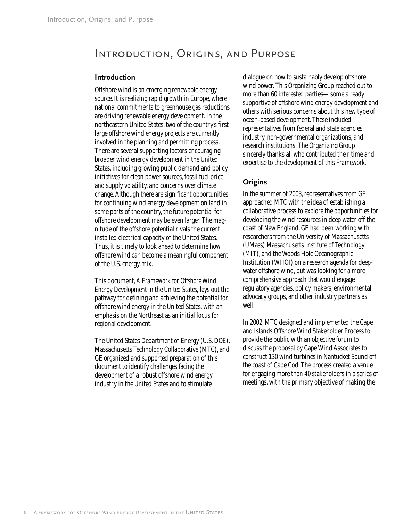# Introduction, Origins, and Purpose

#### **Introduction**

Offshore wind is an emerging renewable energy source. It is realizing rapid growth in Europe, where national commitments to greenhouse gas reductions are driving renewable energy development. In the northeastern United States, two of the country's first large offshore wind energy projects are currently involved in the planning and permitting process. There are several supporting factors encouraging broader wind energy development in the United States, including growing public demand and policy initiatives for clean power sources, fossil fuel price and supply volatility, and concerns over climate change. Although there are significant opportunities for continuing wind energy development on land in some parts of the country, the future potential for offshore development may be even larger. The magnitude of the offshore potential rivals the current installed electrical capacity of the United States. Thus, it is timely to look ahead to determine how offshore wind can become a meaningful component of the U.S. energy mix.

This document, *A Framework for Offshore Wind Energy Development in the United States*, lays out the pathway for defining and achieving the potential for offshore wind energy in the United States, with an emphasis on the Northeast as an initial focus for regional development.

The United States Department of Energy (U.S. DOE), Massachusetts Technology Collaborative (MTC), and GE organized and supported preparation of this document to identify challenges facing the development of a robust offshore wind energy industry in the United States and to stimulate

dialogue on how to sustainably develop offshore wind power. This Organizing Group reached out to more than 60 interested parties—some already supportive of offshore wind energy development and others with serious concerns about this new type of ocean-based development. These included representatives from federal and state agencies, industry, non-governmental organizations, and research institutions. The Organizing Group sincerely thanks all who contributed their time and expertise to the development of this *Framework*.

## **Origins**

In the summer of 2003, representatives from GE approached MTC with the idea of establishing a collaborative process to explore the opportunities for developing the wind resources in deep water off the coast of New England. GE had been working with researchers from the University of Massachusetts (UMass) Massachusetts Institute of Technology (MIT), and the Woods Hole Oceanographic Institution (WHOI) on a research agenda for deepwater offshore wind, but was looking for a more comprehensive approach that would engage regulatory agencies, policy makers, environmental advocacy groups, and other industry partners as well.

In 2002, MTC designed and implemented the Cape and Islands Offshore Wind Stakeholder Process to provide the public with an objective forum to discuss the proposal by Cape Wind Associates to construct 130 wind turbines in Nantucket Sound off the coast of Cape Cod. The process created a venue for engaging more than 40 stakeholders in a series of meetings, with the primary objective of making the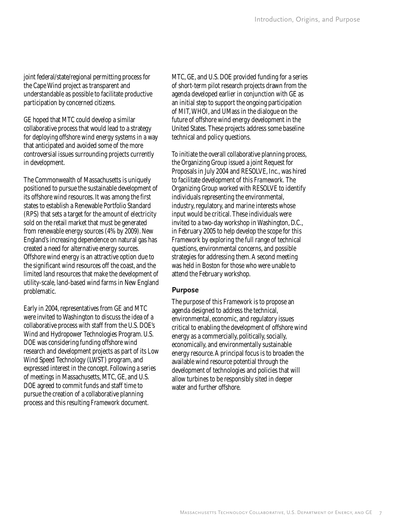joint federal/state/regional permitting process for the Cape Wind project as transparent and understandable as possible to facilitate productive participation by concerned citizens.

GE hoped that MTC could develop a similar collaborative process that would lead to a strategy for deploying offshore wind energy systems in a way that anticipated and avoided some of the more controversial issues surrounding projects currently in development.

The Commonwealth of Massachusetts is uniquely positioned to pursue the sustainable development of its offshore wind resources. It was among the first states to establish a Renewable Portfolio Standard (RPS) that sets a target for the amount of electricity sold on the retail market that must be generated from renewable energy sources (4% by 2009). New England's increasing dependence on natural gas has created a need for alternative energy sources. Offshore wind energy is an attractive option due to the significant wind resources off the coast, and the limited land resources that make the development of utility-scale, land-based wind farms in New England problematic.

Early in 2004, representatives from GE and MTC were invited to Washington to discuss the idea of a collaborative process with staff from the U.S. DOE's Wind and Hydropower Technologies Program. U.S. DOE was considering funding offshore wind research and development projects as part of its Low Wind Speed Technology (LWST) program, and expressed interest in the concept. Following a series of meetings in Massachusetts, MTC, GE, and U.S. DOE agreed to commit funds and staff time to pursue the creation of a collaborative planning process and this resulting *Framework* document.

MTC, GE, and U.S. DOE provided funding for a series of short-term pilot research projects drawn from the agenda developed earlier in conjunction with GE as an initial step to support the ongoing participation of MIT, WHOI, and UMass in the dialogue on the future of offshore wind energy development in the United States. These projects address some baseline technical and policy questions.

To initiate the overall collaborative planning process, the Organizing Group issued a joint Request for Proposals in July 2004 and RESOLVE, Inc., was hired to facilitate development of this *Framework.* The Organizing Group worked with RESOLVE to identify individuals representing the environmental, industry, regulatory, and marine interests whose input would be critical. These individuals were invited to a two-day workshop in Washington, D.C., in February 2005 to help develop the scope for this *Framework* by exploring the full range of technical questions, environmental concerns, and possible strategies for addressing them. A second meeting was held in Boston for those who were unable to attend the February workshop.

#### **Purpose**

The purpose of this *Framework* is to propose an agenda designed to address the technical, environmental, economic, and regulatory issues critical to enabling the development of offshore wind energy as a commercially, politically, socially, economically, and environmentally sustainable energy resource. A principal focus is to broaden the available wind resource potential through the development of technologies and policies that will allow turbines to be responsibly sited in deeper water and further offshore.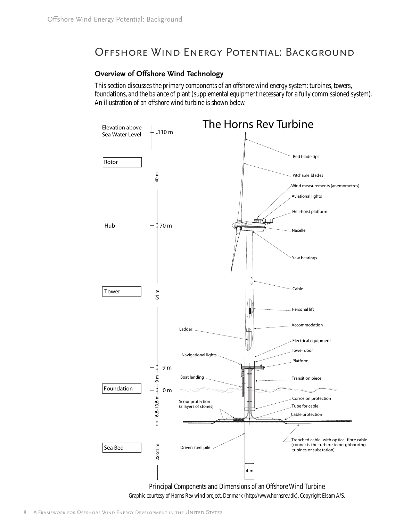# Offshore Wind Energy Potential: Background

## **Overview of Offshore Wind Technology**

This section discusses the primary components of an offshore wind energy system: turbines, towers, foundations, and the balance of plant (supplemental equipment necessary for a fully commissioned system). An illustration of an offshore wind turbine is shown below.



Principal Components and Dimensions of an Offshore Wind Turbine Graphic courtesy of Horns Rev wind project, Denmark (http://www.hornsrev.dk). Copyright Elsam A/S.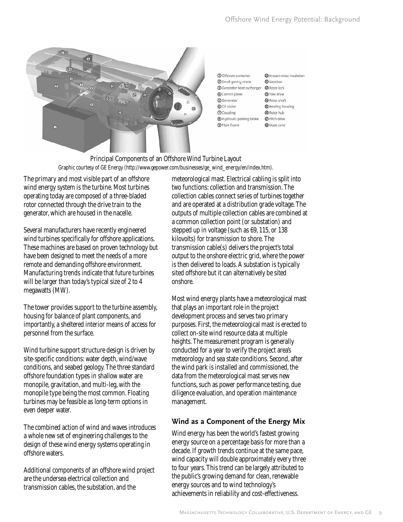

| <b>Q</b> Gearbox         |
|--------------------------|
| <b>@</b> Rotor lock      |
| 3 Yow drive              |
| @ Rotor shaft            |
| <b>B</b> Bearing housing |
| <b>@</b> Rotor hub       |
| <b>D</b> Pitch drive     |
| ® Nose cone              |
|                          |

Principal Components of an Offshore Wind Turbine Layout Graphic courtesy of GE Energy (http://www.gepower.com/businesses/ge\_wind\_energy/en/index.htm).

The primary and most visible part of an offshore wind energy system is the turbine. Most turbines operating today are composed of a three-bladed rotor connected through the drive train to the generator, which are housed in the nacelle.

Several manufacturers have recently engineered wind turbines specifically for offshore applications. These machines are based on proven technology but have been designed to meet the needs of a more remote and demanding offshore environment. Manufacturing trends indicate that future turbines will be larger than today's typical size of 2 to 4 megawatts (MW).

The tower provides support to the turbine assembly, housing for balance of plant components, and importantly, a sheltered interior means of access for personnel from the surface.

Wind turbine support structure design is driven by site-specific conditions: water depth, wind/wave conditions, and seabed geology. The three standard offshore foundation types in shallow water are monopile, gravitation, and multi-leg, with the monopile type being the most common. Floating turbines may be feasible as long-term options in even deeper water.

The combined action of wind and waves introduces a whole new set of engineering challenges to the design of these wind energy systems operating in offshore waters.

Additional components of an offshore wind project are the undersea electrical collection and transmission cables, the substation, and the

meteorological mast. Electrical cabling is split into two functions: collection and transmission. The collection cables connect series of turbines together and are operated at a distribution grade voltage. The outputs of multiple collection cables are combined at a common collection point (or substation) and stepped up in voltage (such as 69, 115, or 138 kilovolts) for transmission to shore. The transmission cable(s) delivers the project's total output to the onshore electric grid, where the power is then delivered to loads. A substation is typically sited offshore but it can alternatively be sited onshore.

Most wind energy plants have a meteorological mast that plays an important role in the project development process and serves two primary purposes. First, the meteorological mast is erected to collect on-site wind resource data at multiple heights. The measurement program is generally conducted for a year to verify the project area's meteorology and sea state conditions. Second, after the wind park is installed and commissioned, the data from the meteorological mast serves new functions, such as power performance testing, due diligence evaluation, and operation maintenance management.

## **Wind as a Component of the Energy Mix**

Wind energy has been the world's fastest growing energy source on a percentage basis for more than a decade. If growth trends continue at the same pace, wind capacity will double approximately every three to four years. This trend can be largely attributed to the public's growing demand for clean, renewable energy sources and to wind technology's achievements in reliability and cost-effectiveness.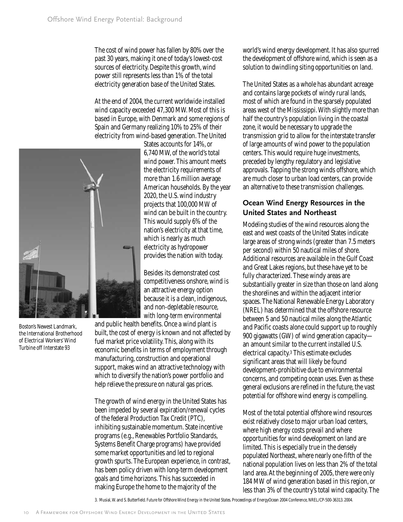The cost of wind power has fallen by 80% over the past 30 years, making it one of today's lowest-cost sources of electricity. Despite this growth, wind power still represents less than 1% of the total electricity generation base of the United States.

At the end of 2004, the current worldwide installed wind capacity exceeded 47,300 MW. Most of this is based in Europe, with Denmark and some regions of Spain and Germany realizing 10% to 25% of their electricity from wind-based generation. The United



Boston's Newest Landmark, the International Brotherhood of Electrical Workers' Wind Turbine off Interstate 93

States accounts for 14%, or 6,740 MW, of the world's total wind power. This amount meets the electricity requirements of more than 1.6 million average American households. By the year 2020, the U.S. wind industry projects that 100,000 MW of wind can be built in the country. This would supply 6% of the nation's electricity at that time, which is nearly as much electricity as hydropower provides the nation with today.

Besides its demonstrated cost competitiveness onshore, wind is an attractive energy option because it is a clean, indigenous, and non-depletable resource, with long-term environmental

and public health benefits. Once a wind plant is built, the cost of energy is known and not affected by fuel market price volatility. This, along with its economic benefits in terms of employment through manufacturing, construction and operational support, makes wind an attractive technology with which to diversify the nation's power portfolio and help relieve the pressure on natural gas prices.

The growth of wind energy in the United States has been impeded by several expiration/renewal cycles of the federal Production Tax Credit (PTC), inhibiting sustainable momentum. State incentive programs (e.g., Renewables Portfolio Standards, Systems Benefit Charge programs) have provided some market opportunities and led to regional growth spurts. The European experience, in contrast, has been policy driven with long-term development goals and time horizons. This has succeeded in making Europe the home to the majority of the

world's wind energy development. It has also spurred the development of offshore wind, which is seen as a solution to dwindling siting opportunities on land.

The United States as a whole has abundant acreage and contains large pockets of windy rural lands, most of which are found in the sparsely populated areas west of the Mississippi. With slightly more than half the country's population living in the coastal zone, it would be necessary to upgrade the transmission grid to allow for the interstate transfer of large amounts of wind power to the population centers. This would require huge investments, preceded by lengthy regulatory and legislative approvals. Tapping the strong winds offshore, which are much closer to urban load centers, can provide an alternative to these transmission challenges.

## **Ocean Wind Energy Resources in the United States and Northeast**

Modeling studies of the wind resources along the east and west coasts of the United States indicate large areas of strong winds (greater than 7.5 meters per second) within 50 nautical miles of shore. Additional resources are available in the Gulf Coast and Great Lakes regions, but these have yet to be fully characterized. These windy areas are substantially greater in size than those on land along the shorelines and within the adjacent interior spaces. The National Renewable Energy Laboratory (NREL) has determined that the offshore resource between 5 and 50 nautical miles along the Atlantic and Pacific coasts alone could support up to roughly 900 gigawatts (GW) of wind generation capacity an amount similar to the current installed U.S. electrical capacity.3 This estimate excludes significant areas that will likely be found development-prohibitive due to environmental concerns, and competing ocean uses. Even as these general exclusions are refined in the future, the vast potential for offshore wind energy is compelling.

Most of the total potential offshore wind resources exist relatively close to major urban load centers, where high energy costs prevail and where opportunities for wind development on land are limited. This is especially true in the densely populated Northeast, where nearly one-fifth of the national population lives on less than 2% of the total land area. At the beginning of 2005, there were only 184 MW of wind generation based in this region, or less than 3% of the country's total wind capacity. The

3. Musial, W. and S. Butterfield. *Future for Offshore Wind Energy in the United States*. Proceedings of EnergyOcean 2004 Conference, NREL/CP-500-36313. 2004.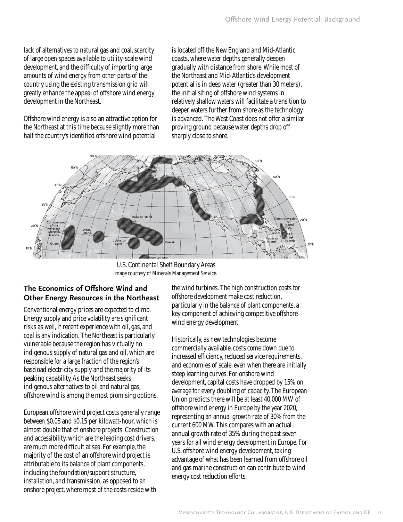lack of alternatives to natural gas and coal, scarcity of large open spaces available to utility-scale wind development, and the difficulty of importing large amounts of wind energy from other parts of the country using the existing transmission grid will greatly enhance the appeal of offshore wind energy development in the Northeast.

Offshore wind energy is also an attractive option for the Northeast at this time because slightly more than half the country's identified offshore wind potential

is located off the New England and Mid-Atlantic coasts, where water depths generally deepen gradually with distance from shore. While most of the Northeast and Mid-Atlantic's development potential is in deep water (greater than 30 meters), the initial siting of offshore wind systems in relatively shallow waters will facilitate a transition to deeper waters further from shore as the technology is advanced. The West Coast does not offer a similar proving ground because water depths drop off sharply close to shore.



U.S. Continental Shelf Boundary Areas Image courtesy of Minerals Management Service.

## **The Economics of Offshore Wind and Other Energy Resources in the Northeast**

Conventional energy prices are expected to climb. Energy supply and price volatility are significant risks as well, if recent experience with oil, gas, and coal is any indication. The Northeast is particularly vulnerable because the region has virtually no indigenous supply of natural gas and oil, which are responsible for a large fraction of the region's baseload electricity supply and the majority of its peaking capability. As the Northeast seeks indigenous alternatives to oil and natural gas, offshore wind is among the most promising options.

European offshore wind project costs generally range between \$0.08 and \$0.15 per kilowatt-hour, which is almost double that of onshore projects. Construction and accessibility, which are the leading cost drivers, are much more difficult at sea. For example, the majority of the cost of an offshore wind project is attributable to its balance of plant components, including the foundation/support structure, installation, and transmission, as opposed to an onshore project, where most of the costs reside with

the wind turbines. The high construction costs for offshore development make cost reduction, particularly in the balance of plant components, a key component of achieving competitive offshore wind energy development.

Historically, as new technologies become commercially available, costs come down due to increased efficiency, reduced service requirements, and economies of scale, even when there are initially steep learning curves. For onshore wind development, capital costs have dropped by 15% on average for every doubling of capacity. The European Union predicts there will be at least 40,000 MW of offshore wind energy in Europe by the year 2020, representing an annual growth rate of 30% from the current 600 MW. This compares with an actual annual growth rate of 35% during the past seven years for all wind energy development in Europe. For U.S. offshore wind energy development, taking advantage of what has been learned from offshore oil and gas marine construction can contribute to wind energy cost reduction efforts.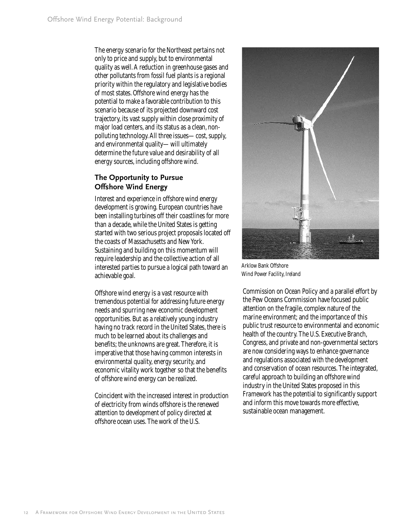The energy scenario for the Northeast pertains not only to price and supply, but to environmental quality as well. A reduction in greenhouse gases and other pollutants from fossil fuel plants is a regional priority within the regulatory and legislative bodies of most states. Offshore wind energy has the potential to make a favorable contribution to this scenario because of its projected downward cost trajectory, its vast supply within close proximity of major load centers, and its status as a clean, nonpolluting technology. All three issues—cost, supply, and environmental quality—will ultimately determine the future value and desirability of all energy sources, including offshore wind.

## **The Opportunity to Pursue Offshore Wind Energy**

Interest and experience in offshore wind energy development is growing. European countries have been installing turbines off their coastlines for more than a decade, while the United States is getting started with two serious project proposals located off the coasts of Massachusetts and New York. Sustaining and building on this momentum will require leadership and the collective action of all interested parties to pursue a logical path toward an achievable goal.

Offshore wind energy is a vast resource with tremendous potential for addressing future energy needs and spurring new economic development opportunities. But as a relatively young industry having no track record in the United States, there is much to be learned about its challenges and benefits; the unknowns are great. Therefore, it is imperative that those having common interests in environmental quality, energy security, and economic vitality work together so that the benefits of offshore wind energy can be realized.

Coincident with the increased interest in production of electricity from winds offshore is the renewed attention to development of policy directed at offshore ocean uses. The work of the U.S.



Arklow Bank Offshore Wind Power Facility, Ireland

Commission on Ocean Policy and a parallel effort by the Pew Oceans Commission have focused public attention on the fragile, complex nature of the marine environment; and the importance of this public trust resource to environmental and economic health of the country. The U.S. Executive Branch, Congress, and private and non-governmental sectors are now considering ways to enhance governance and regulations associated with the development and conservation of ocean resources. The integrated, careful approach to building an offshore wind industry in the United States proposed in this *Framework* has the potential to significantly support and inform this move towards more effective, sustainable ocean management.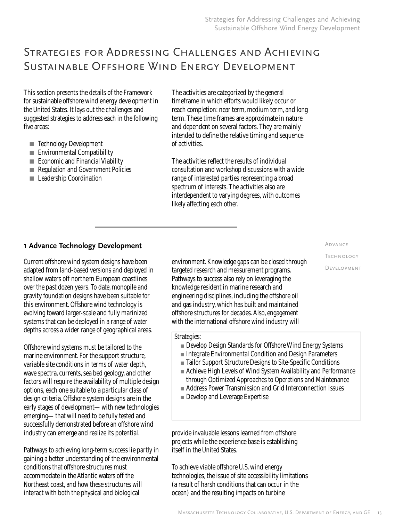# Strategies for Addressing Challenges and Achieving Sustainable Offshore Wind Energy Development

This section presents the details of the *Framework* for sustainable offshore wind energy development in the United States. It lays out the challenges and suggested strategies to address each in the following five areas:

- Technology Development
- Environmental Compatibility
- Economic and Financial Viability
- Regulation and Government Policies
- Leadership Coordination

The activities are categorized by the general timeframe in which efforts would likely occur or reach completion: near term, medium term, and long term. These time frames are approximate in nature and dependent on several factors. They are mainly intended to define the relative timing and sequence of activities.

The activities reflect the results of individual consultation and workshop discussions with a wide range of interested parties representing a broad spectrum of interests. The activities also are interdependent to varying degrees, with outcomes likely affecting each other.

## **1 Advance Technology Development**

Current offshore wind system designs have been adapted from land-based versions and deployed in shallow waters off northern European coastlines over the past dozen years. To date, monopile and gravity foundation designs have been suitable for this environment. Offshore wind technology is evolving toward larger-scale and fully marinized systems that can be deployed in a range of water depths across a wider range of geographical areas.

Offshore wind systems must be tailored to the marine environment. For the support structure, variable site conditions in terms of water depth, wave spectra, currents, sea bed geology, and other factors will require the availability of multiple design options, each one suitable to a particular class of design criteria. Offshore system designs are in the early stages of development—with new technologies emerging—that will need to be fully tested and successfully demonstrated before an offshore wind industry can emerge and realize its potential.

Pathways to achieving long-term success lie partly in gaining a better understanding of the environmental conditions that offshore structures must accommodate in the Atlantic waters off the Northeast coast, and how these structures will interact with both the physical and biological

environment. Knowledge gaps can be closed through targeted research and measurement programs. Pathways to success also rely on leveraging the knowledge resident in marine research and engineering disciplines, including the offshore oil and gas industry, which has built and maintained offshore structures for decades. Also, engagement with the international offshore wind industry will

#### Strategies:

- Develop Design Standards for Offshore Wind Energy Systems
- Integrate Environmental Condition and Design Parameters
- Tailor Support Structure Designs to Site-Specific Conditions
- Achieve High Levels of Wind System Availability and Performance through Optimized Approaches to Operations and Maintenance
- Address Power Transmission and Grid Interconnection Issues
- Develop and Leverage Expertise

provide invaluable lessons learned from offshore projects while the experience base is establishing itself in the United States.

To achieve viable offshore U.S. wind energy technologies, the issue of site accessibility limitations (a result of harsh conditions that can occur in the ocean) and the resulting impacts on turbine

#### Massachusetts Technology Collaborative, U.S. Department of Energy, and GE 13

Advance TechnologyDevelopment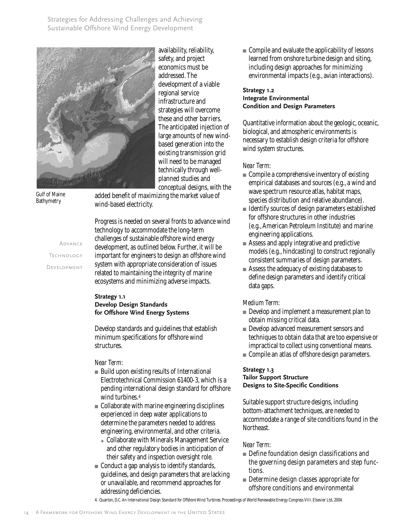Strategies for Addressing Challenges and Achieving Sustainable Offshore Wind Energy Development



availability, reliability, safety, and project economics must be addressed. The development of a viable regional service infrastructure and strategies will overcome these and other barriers. The anticipated injection of large amounts of new windbased generation into the existing transmission grid will need to be managed technically through wellplanned studies and

conceptual designs, with the

Gulf of Maine Bathymetry

added benefit of maximizing the market value of wind-based electricity.

Advance **TECHNOLOGY** Development

Progress is needed on several fronts to advance wind technology to accommodate the long-term challenges of sustainable offshore wind energy development, as outlined below. Further, it will be important for engineers to design an offshore wind system with appropriate consideration of issues related to maintaining the integrity of marine ecosystems and minimizing adverse impacts.

#### **Strategy 1.1 Develop Design Standards for Offshore Wind Energy Systems**

Develop standards and guidelines that establish minimum specifications for offshore wind structures.

#### *Near Term:*

- Build upon existing results of International Electrotechnical Commission 61400-3, which is a pending international design standard for offshore wind turbines.4
- Collaborate with marine engineering disciplines experienced in deep water applications to determine the parameters needed to address engineering, environmental, and other criteria.
	- Collaborate with Minerals Management Service and other regulatory bodies in anticipation of their safety and inspection oversight role.
- Conduct a gap analysis to identify standards, guidelines, and design parameters that are lacking or unavailable, and recommend approaches for addressing deficiencies.

■ Compile and evaluate the applicability of lessons learned from onshore turbine design and siting, including design approaches for minimizing environmental impacts (e.g., avian interactions).

## **Strategy 1.2 Integrate Environmental**

**Condition and Design Parameters**

Quantitative information about the geologic, oceanic, biological, and atmospheric environments is necessary to establish design criteria for offshore wind system structures.

## *Near Term:*

- Compile a comprehensive inventory of existing empirical databases and sources (e.g., a wind and wave spectrum resource atlas, habitat maps, species distribution and relative abundance).
- Identify sources of design parameters established for offshore structures in other industries (e.g., American Petroleum Institute) and marine engineering applications.
- Assess and apply integrative and predictive models (e.g., hindcasting) to construct regionally consistent summaries of design parameters.
- Assess the adequacy of existing databases to define design parameters and identify critical data gaps.

## *Medium Term:*

- Develop and implement a measurement plan to obtain missing critical data.
- Develop advanced measurement sensors and techniques to obtain data that are too expensive or impractical to collect using conventional means.
- Compile an atlas of offshore design parameters.

#### **Strategy 1.3 Tailor Support Structure Designs to Site-Specific Conditions**

Suitable support structure designs, including bottom-attachment techniques, are needed to accommodate a range of site conditions found in the Northeast.

## *Near Term:*

- Define foundation design classifications and the governing design parameters and step functions.
- Determine design classes appropriate for offshore conditions and environmental
- 4. Quarton, D.C. *An International Design Standard for Offshore Wind Turbines*. Proceedings of World Renewable Energy Congress VIII. Elsevier Ltd, 2004.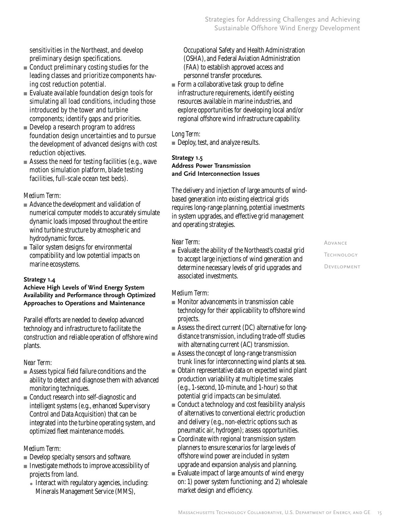sensitivities in the Northeast, and develop preliminary design specifications.

- Conduct preliminary costing studies for the leading classes and prioritize components having cost reduction potential.
- Evaluate available foundation design tools for simulating all load conditions, including those introduced by the tower and turbine components; identify gaps and priorities.
- Develop a research program to address foundation design uncertainties and to pursue the development of advanced designs with cost reduction objectives.
- Assess the need for testing facilities (e.g., wave motion simulation platform, blade testing facilities, full-scale ocean test beds).

## *Medium Term:*

- Advance the development and validation of numerical computer models to accurately simulate dynamic loads imposed throughout the entire wind turbine structure by atmospheric and hydrodynamic forces.
- Tailor system designs for environmental compatibility and low potential impacts on marine ecosystems.

#### **Strategy 1.4**

#### **Achieve High Levels of Wind Energy System Availability and Performance through Optimized Approaches to Operations and Maintenance**

Parallel efforts are needed to develop advanced technology and infrastructure to facilitate the construction and reliable operation of offshore wind plants.

## *Near Term:*

- Assess typical field failure conditions and the ability to detect and diagnose them with advanced monitoring techniques.
- Conduct research into self-diagnostic and intelligent systems (e.g., enhanced Supervisory Control and Data Acquisition) that can be integrated into the turbine operating system, and optimized fleet maintenance models.

## *Medium Term:*

- Develop specialty sensors and software.
- Investigate methods to improve accessibility of projects from land.
	- Interact with regulatory agencies, including: Minerals Management Service (MMS),

Occupational Safety and Health Administration (OSHA), and Federal Aviation Administration (FAA) to establish approved access and personnel transfer procedures.

■ Form a collaborative task group to define infrastructure requirements, identify existing resources available in marine industries, and explore opportunities for developing local and/or regional offshore wind infrastructure capability.

## *Long Term:*

■ Deploy, test, and analyze results.

#### **Strategy 1.5 Address Power Transmission and Grid Interconnection Issues**

The delivery and injection of large amounts of windbased generation into existing electrical grids requires long-range planning, potential investments in system upgrades, and effective grid management and operating strategies.

## *Near Term:*

■ Evaluate the ability of the Northeast's coastal grid to accept large injections of wind generation and determine necessary levels of grid upgrades and associated investments.

## *Medium Term:*

- Monitor advancements in transmission cable technology for their applicability to offshore wind projects.
- Assess the direct current (DC) alternative for longdistance transmission, including trade-off studies with alternating current (AC) transmission.
- Assess the concept of long-range transmission trunk lines for interconnecting wind plants at sea.
- Obtain representative data on expected wind plant production variability at multiple time scales (e.g., 1-second, 10-minute, and 1-hour) so that potential grid impacts can be simulated.
- Conduct a technology and cost feasibility analysis of alternatives to conventional electric production and delivery (e.g., non-electric options such as pneumatic air, hydrogen); assess opportunities.
- Coordinate with regional transmission system planners to ensure scenarios for large levels of offshore wind power are included in system upgrade and expansion analysis and planning.
- Evaluate impact of large amounts of wind energy on: 1) power system functioning; and 2) wholesale market design and efficiency.

Advance **TECHNOLOGY** Development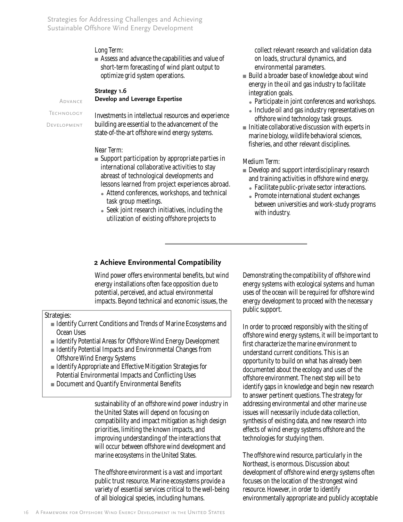Strategies for Addressing Challenges and Achieving Sustainable Offshore Wind Energy Development

#### *Long Term:*

■ Assess and advance the capabilities and value of short-term forecasting of wind plant output to optimize grid system operations.

**Strategy 1.6** 

#### **Develop and Leverage Expertise**

Technology

Advance

Development

Investments in intellectual resources and experience building are essential to the advancement of the state-of-the-art offshore wind energy systems.

#### *Near Term:*

- Support participation by appropriate parties in international collaborative activities to stay abreast of technological developments and lessons learned from project experiences abroad.
	- Attend conferences, workshops, and technical task group meetings.
	- Seek joint research initiatives, including the utilization of existing offshore projects to

collect relevant research and validation data on loads, structural dynamics, and environmental parameters.

- Build a broader base of knowledge about wind energy in the oil and gas industry to facilitate integration goals.
	- Participate in joint conferences and workshops.
	- Include oil and gas industry representatives on offshore wind technology task groups.
- Initiate collaborative discussion with experts in marine biology, wildlife behavioral sciences, fisheries, and other relevant disciplines.

#### *Medium Term:*

- Develop and support interdisciplinary research and training activities in offshore wind energy.
	- Facilitate public-private sector interactions.
	- Promote international student exchanges between universities and work-study programs with industry.

#### **2 Achieve Environmental Compatibility**

Wind power offers environmental benefits, but wind energy installations often face opposition due to potential, perceived, and actual environmental impacts. Beyond technical and economic issues, the

Strategies:

- Identify Current Conditions and Trends of Marine Ecosystems and Ocean Uses
- Identify Potential Areas for Offshore Wind Energy Development
- Identify Potential Impacts and Environmental Changes from Offshore Wind Energy Systems
- Identify Appropriate and Effective Mitigation Strategies for Potential Environmental Impacts and Conflicting Uses
- Document and Quantify Environmental Benefits

sustainability of an offshore wind power industry in the United States will depend on focusing on compatibility and impact mitigation as high design priorities, limiting the known impacts, and improving understanding of the interactions that will occur between offshore wind development and marine ecosystems in the United States.

The offshore environment is a vast and important public trust resource. Marine ecosystems provide a variety of essential services critical to the well-being of all biological species, including humans.

Demonstrating the compatibility of offshore wind energy systems with ecological systems and human uses of the ocean will be required for offshore wind energy development to proceed with the necessary public support.

In order to proceed responsibly with the siting of offshore wind energy systems, it will be important to first characterize the marine environment to understand current conditions. This is an opportunity to build on what has already been documented about the ecology and uses of the offshore environment. The next step will be to identify gaps in knowledge and begin new research to answer pertinent questions. The strategy for addressing environmental and other marine use issues will necessarily include data collection, synthesis of existing data, and new research into effects of wind energy systems offshore and the technologies for studying them.

The offshore wind resource, particularly in the Northeast, is enormous. Discussion about development of offshore wind energy systems often focuses on the location of the strongest wind resource. However, in order to identify environmentally appropriate and publicly acceptable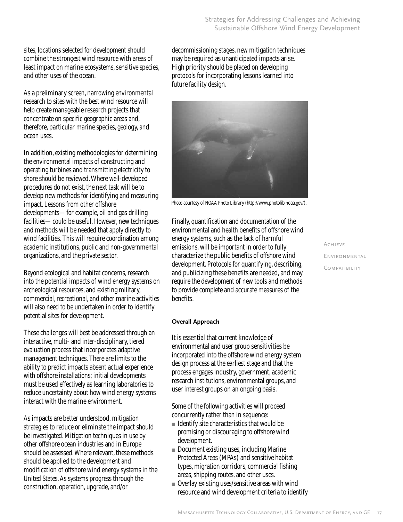sites, locations selected for development should combine the strongest wind resource with areas of least impact on marine ecosystems, sensitive species, and other uses of the ocean.

As a preliminary screen, narrowing environmental research to sites with the best wind resource will help create manageable research projects that concentrate on specific geographic areas and, therefore, particular marine species, geology, and ocean uses.

In addition, existing methodologies for determining the environmental impacts of constructing and operating turbines and transmitting electricity to shore should be reviewed. Where well-developed procedures do not exist, the next task will be to develop new methods for identifying and measuring impact. Lessons from other offshore developments—for example, oil and gas drilling facilities—could be useful. However, new techniques and methods will be needed that apply directly to wind facilities. This will require coordination among academic institutions, public and non-governmental organizations, and the private sector.

Beyond ecological and habitat concerns, research into the potential impacts of wind energy systems on archeological resources, and existing military, commercial, recreational, and other marine activities will also need to be undertaken in order to identify potential sites for development.

These challenges will best be addressed through an interactive, multi- and inter-disciplinary, tiered evaluation process that incorporates adaptive management techniques. There are limits to the ability to predict impacts absent actual experience with offshore installations; initial developments must be used effectively as learning laboratories to reduce uncertainty about how wind energy systems interact with the marine environment.

As impacts are better understood, mitigation strategies to reduce or eliminate the impact should be investigated. Mitigation techniques in use by other offshore ocean industries and in Europe should be assessed. Where relevant, these methods should be applied to the development and modification of offshore wind energy systems in the United States. As systems progress through the construction, operation, upgrade, and/or

decommissioning stages, new mitigation techniques may be required as unanticipated impacts arise. High priority should be placed on developing protocols for incorporating lessons learned into future facility design.



Photo courtesy of NOAA Photo Library (http://www.photolib.noaa.gov/).

Finally, quantification and documentation of the environmental and health benefits of offshore wind energy systems, such as the lack of harmful emissions, will be important in order to fully characterize the public benefits of offshore wind development. Protocols for quantifying, describing, and publicizing these benefits are needed, and may require the development of new tools and methods to provide complete and accurate measures of the benefits.

### **Overall Approach**

It is essential that current knowledge of environmental and user group sensitivities be incorporated into the offshore wind energy system design process at the earliest stage and that the process engages industry, government, academic research institutions, environmental groups, and user interest groups on an ongoing basis.

Some of the following activities will proceed concurrently rather than in sequence:

- Identify site characteristics that would be promising or discouraging to offshore wind development.
- Document existing uses, including Marine Protected Areas (MPAs) and sensitive habitat types, migration corridors, commercial fishing areas, shipping routes, and other uses.
- Overlay existing uses/sensitive areas with wind resource and wind development criteria to identify

Achieve**ENVIRONMENTAL COMPATIBILITY**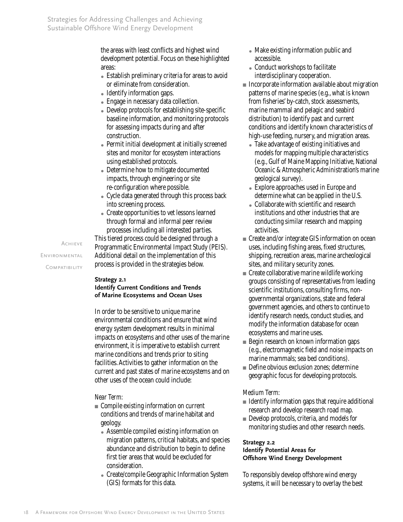the areas with least conflicts and highest wind development potential. Focus on these highlighted areas:

- Establish preliminary criteria for areas to avoid or eliminate from consideration.
- Identify information gaps.
- Engage in necessary data collection.
- Develop protocols for establishing site-specific baseline information, and monitoring protocols for assessing impacts during and after construction.
- Permit initial development at initially screened sites and monitor for ecosystem interactions using established protocols.
- Determine how to mitigate documented impacts, through engineering or site re-configuration where possible.
- Cycle data generated through this process back into screening process.
- Create opportunities to vet lessons learned through formal and informal peer review processes including all interested parties.

This tiered process could be designed through a Programmatic Environmental Impact Study (PEIS). Additional detail on the implementation of this process is provided in the strategies below.

#### **Strategy 2.1**

**Identify Current Conditions and Trends of Marine Ecosystems and Ocean Uses**

In order to be sensitive to unique marine environmental conditions and ensure that wind energy system development results in minimal impacts on ecosystems and other uses of the marine environment, it is imperative to establish current marine conditions and trends prior to siting facilities. Activities to gather information on the current and past states of marine ecosystems and on other uses of the ocean could include:

#### *Near Term:*

- Compile existing information on current conditions and trends of marine habitat and geology.
	- Assemble compiled existing information on migration patterns, critical habitats, and species abundance and distribution to begin to define first tier areas that would be excluded for consideration.
	- Create/compile Geographic Information System (GIS) formats for this data.
- Make existing information public and accessible.
- Conduct workshops to facilitate interdisciplinary cooperation.
- Incorporate information available about migration patterns of marine species (e.g., what is known from fisheries' by-catch, stock assessments, marine mammal and pelagic and seabird distribution) to identify past and current conditions and identify known characteristics of high-use feeding, nursery, and migration areas.
	- Take advantage of existing initiatives and models for mapping multiple characteristics (e.g., Gulf of Maine Mapping Initiative, National Oceanic & Atmospheric Administration's marine geological survey).
	- Explore approaches used in Europe and determine what can be applied in the U.S.
	- Collaborate with scientific and research institutions and other industries that are conducting similar research and mapping activities.
- Create and/or integrate GIS information on ocean uses, including fishing areas, fixed structures, shipping, recreation areas, marine archeological sites, and military security zones.
- $\blacksquare$  Create collaborative marine wildlife working groups consisting of representatives from leading scientific institutions, consulting firms, nongovernmental organizations, state and federal government agencies, and others to continue to identify research needs, conduct studies, and modify the information database for ocean ecosystems and marine uses.
- Begin research on known information gaps (e.g., electromagnetic field and noise impacts on marine mammals; sea bed conditions).
- Define obvious exclusion zones; determine geographic focus for developing protocols.

#### *Medium Term:*

- Identify information gaps that require additional research and develop research road map.
- Develop protocols, criteria, and models for monitoring studies and other research needs.

#### **Strategy 2.2**

#### **Identify Potential Areas for Offshore Wind Energy Development**

To responsibly develop offshore wind energy systems, it will be necessary to overlay the best

Achieve **ENVIRONMENTAL COMPATIBILITY**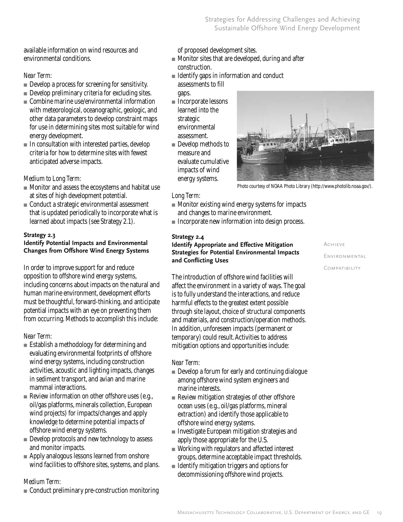available information on wind resources and environmental conditions.

## *Near Term:*

- Develop a process for screening for sensitivity.
- Develop preliminary criteria for excluding sites.
- $\blacksquare$  Combine marine use/environmental information with meteorological, oceanographic, geologic, and other data parameters to develop constraint maps for use in determining sites most suitable for wind energy development.
- In consultation with interested parties, develop criteria for how to determine sites with fewest anticipated adverse impacts.

## *Medium to Long Term:*

- Monitor and assess the ecosystems and habitat use at sites of high development potential.
- Conduct a strategic environmental assessment that is updated periodically to incorporate what is learned about impacts (see Strategy 2.1).

#### **Strategy 2.3**

#### **Identify Potential Impacts and Environmental Changes from Offshore Wind Energy Systems**

In order to improve support for and reduce opposition to offshore wind energy systems, including concerns about impacts on the natural and human marine environment, development efforts must be thoughtful, forward-thinking, and anticipate potential impacts with an eye on preventing them from occurring. Methods to accomplish this include:

## *Near Term:*

- Establish a methodology for determining and evaluating environmental footprints of offshore wind energy systems, including construction activities, acoustic and lighting impacts, changes in sediment transport, and avian and marine mammal interactions.
- Review information on other offshore uses (e.g., oil/gas platforms, minerals collection, European wind projects) for impacts/changes and apply knowledge to determine potential impacts of offshore wind energy systems.
- Develop protocols and new technology to assess and monitor impacts.
- Apply analogous lessons learned from onshore wind facilities to offshore sites, systems, and plans.

## *Medium Term:*

■ Conduct preliminary pre-construction monitoring

of proposed development sites.

- Monitor sites that are developed, during and after construction.
- Identify gaps in information and conduct assessments to fill gaps.
- Incorporate lessons learned into the strategic environmental assessment.
- Develop methods to measure and evaluate cumulative impacts of wind energy systems.



Photo courtesy of NOAA Photo Library (http://www.photolib.noaa.gov/).

#### *Long Term:*

- Monitor existing wind energy systems for impacts and changes to marine environment.
- Incorporate new information into design process.

#### **Strategy 2.4**

#### **Identify Appropriate and Effective Mitigation Strategies for Potential Environmental Impacts and Conflicting Uses**

The introduction of offshore wind facilities will affect the environment in a variety of ways. The goal is to fully understand the interactions, and reduce harmful effects to the greatest extent possible through site layout, choice of structural components and materials, and construction/operation methods. In addition, unforeseen impacts (permanent or temporary) could result. Activities to address mitigation options and opportunities include:

#### *Near Term:*

- Develop a forum for early and continuing dialogue among offshore wind system engineers and marine interests.
- Review mitigation strategies of other offshore ocean uses (e.g., oil/gas platforms, mineral extraction) and identify those applicable to offshore wind energy systems.
- Investigate European mitigation strategies and apply those appropriate for the U.S.
- Working with regulators and affected interest groups, determine acceptable impact thresholds.
- Identify mitigation triggers and options for decommissioning offshore wind projects.

Achieve**ENVIRONMENTAL** Compatibility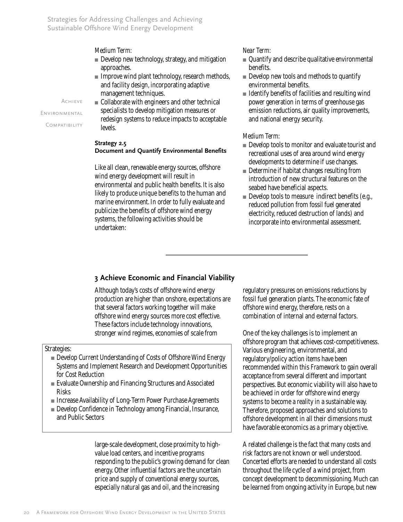Strategies for Addressing Challenges and Achieving Sustainable Offshore Wind Energy Development

*Medium Term:*

- Develop new technology, strategy, and mitigation approaches.
- Improve wind plant technology, research methods, and facility design, incorporating adaptive management techniques.

■ Collaborate with engineers and other technical specialists to develop mitigation measures or redesign systems to reduce impacts to acceptable levels. AchieveEnvironmental **COMPATIBILITY** 

#### **Strategy 2.5 Document and Quantify Environmental Benefits**

Like all clean, renewable energy sources, offshore wind energy development will result in environmental and public health benefits. It is also likely to produce unique benefits to the human and marine environment. In order to fully evaluate and publicize the benefits of offshore wind energy systems, the following activities should be undertaken:

#### *Near Term:*

- Quantify and describe qualitative environmental benefits.
- Develop new tools and methods to quantify environmental benefits.
- Identify benefits of facilities and resulting wind power generation in terms of greenhouse gas emission reductions, air quality improvements, and national energy security.

#### *Medium Term:*

- Develop tools to monitor and evaluate tourist and recreational uses of area around wind energy developments to determine if use changes.
- Determine if habitat changes resulting from introduction of new structural features on the seabed have beneficial aspects.
- Develop tools to measure indirect benefits (e.g., reduced pollution from fossil fuel generated electricity, reduced destruction of lands) and incorporate into environmental assessment.

## **3 Achieve Economic and Financial Viability**

Although today's costs of offshore wind energy production are higher than onshore, expectations are that several factors working together will make offshore wind energy sources more cost effective. These factors include technology innovations, stronger wind regimes, economies of scale from

#### Strategies:

- Develop Current Understanding of Costs of Offshore Wind Energy Systems and Implement Research and Development Opportunities for Cost Reduction
- Evaluate Ownership and Financing Structures and Associated Risks
- Increase Availability of Long-Term Power Purchase Agreements
- Develop Confidence in Technology among Financial, Insurance, and Public Sectors

large-scale development, close proximity to highvalue load centers, and incentive programs responding to the public's growing demand for clean energy. Other influential factors are the uncertain price and supply of conventional energy sources, especially natural gas and oil, and the increasing

regulatory pressures on emissions reductions by fossil fuel generation plants. The economic fate of offshore wind energy, therefore, rests on a combination of internal and external factors.

One of the key challenges is to implement an offshore program that achieves cost-competitiveness. Various engineering, environmental, and regulatory/policy action items have been recommended within this *Framework* to gain overall acceptance from several different and important perspectives. But economic viability will also have to be achieved in order for offshore wind energy systems to become a reality in a sustainable way. Therefore, proposed approaches and solutions to offshore development in all their dimensions must have favorable economics as a primary objective.

A related challenge is the fact that many costs and risk factors are not known or well understood. Concerted efforts are needed to understand all costs throughout the life cycle of a wind project, from concept development to decommissioning. Much can be learned from ongoing activity in Europe, but new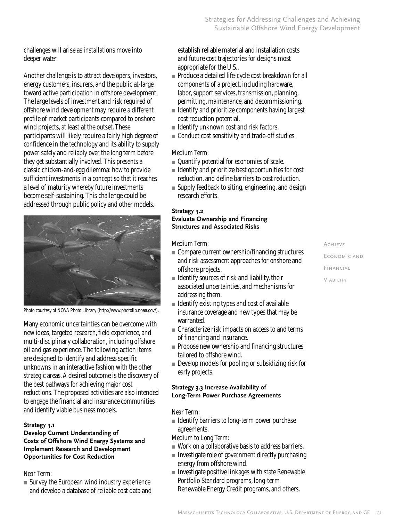challenges will arise as installations move into deeper water.

Another challenge is to attract developers, investors, energy customers, insurers, and the public at-large toward active participation in offshore development. The large levels of investment and risk required of offshore wind development may require a different profile of market participants compared to onshore wind projects, at least at the outset. These participants will likely require a fairly high degree of confidence in the technology and its ability to supply power safely and reliably over the long term before they get substantially involved. This presents a classic chicken-and-egg dilemma: how to provide sufficient investments in a concept so that it reaches a level of maturity whereby future investments become self-sustaining. This challenge could be addressed through public policy and other models.



Photo courtesy of NOAA Photo Library (http://www.photolib.noaa.gov/).

Many economic uncertainties can be overcome with new ideas, targeted research, field experience, and multi-disciplinary collaboration, including offshore oil and gas experience. The following action items are designed to identify and address specific unknowns in an interactive fashion with the other strategic areas. A desired outcome is the discovery of the best pathways for achieving major cost reductions. The proposed activities are also intended to engage the financial and insurance communities and identify viable business models.

#### **Strategy 3.1**

#### **Develop Current Understanding of Costs of Offshore Wind Energy Systems and Implement Research and Development Opportunities for Cost Reduction**

## *Near Term:*

■ Survey the European wind industry experience and develop a database of reliable cost data and establish reliable material and installation costs and future cost trajectories for designs most appropriate for the U.S..

- Produce a detailed life-cycle cost breakdown for all components of a project, including hardware, labor, support services, transmission, planning, permitting, maintenance, and decommissioning.
- Identify and prioritize components having largest cost reduction potential.
- Identify unknown cost and risk factors.
- Conduct cost sensitivity and trade-off studies.

## *Medium Term:*

- Quantify potential for economies of scale.
- Identify and prioritize best opportunities for cost reduction, and define barriers to cost reduction.
- Supply feedback to siting, engineering, and design research efforts.

#### **Strategy 3.2**

#### **Evaluate Ownership and Financing Structures and Associated Risks**

## *Medium Term:*

- Compare current ownership/financing structures and risk assessment approaches for onshore and offshore projects.
- Identify sources of risk and liability, their associated uncertainties, and mechanisms for addressing them.
- Identify existing types and cost of available insurance coverage and new types that may be warranted.
- Characterize risk impacts on access to and terms of financing and insurance.
- Propose new ownership and financing structures tailored to offshore wind.
- Develop models for pooling or subsidizing risk for early projects.

#### **Strategy 3.3 Increase Availability of Long-Term Power Purchase Agreements**

#### *Near Term:*

■ Identify barriers to long-term power purchase agreements.

#### *Medium to Long Term:*

- Work on a collaborative basis to address barriers.
- Investigate role of government directly purchasing energy from offshore wind.
- Investigate positive linkages with state Renewable Portfolio Standard programs, long-term Renewable Energy Credit programs, and others.

## AchieveEconomic andFinancial Viability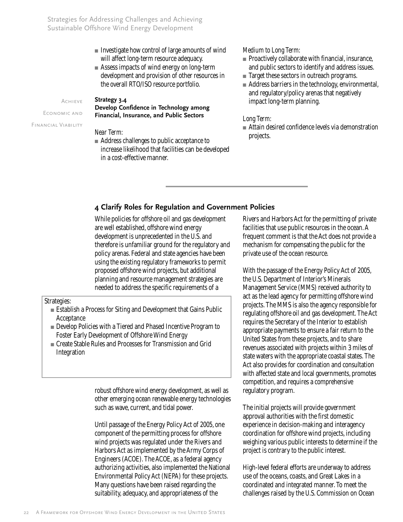Strategies for Addressing Challenges and Achieving Sustainable Offshore Wind Energy Development

- Investigate how control of large amounts of wind will affect long-term resource adequacy.
- Assess impacts of wind energy on long-term development and provision of other resources in the overall RTO/ISO resource portfolio.

Achieve

Economic and Financial Viability

#### **Strategy 3.4**

**Develop Confidence in Technology among Financial, Insurance, and Public Sectors**

## *Near Term:*

■ Address challenges to public acceptance to increase likelihood that facilities can be developed in a cost-effective manner.

#### *Medium to Long Term:*

- Proactively collaborate with financial, insurance, and public sectors to identify and address issues.
- Target these sectors in outreach programs.
- Address barriers in the technology, environmental, and regulatory/policy arenas that negatively impact long-term planning.

#### *Long Term:*

■ Attain desired confidence levels via demonstration projects.

## **4 Clarify Roles for Regulation and Government Policies**

While policies for offshore oil and gas development are well established, offshore wind energy development is unprecedented in the U.S. and therefore is unfamiliar ground for the regulatory and policy arenas. Federal and state agencies have been using the existing regulatory frameworks to permit proposed offshore wind projects, but additional planning and resource management strategies are needed to address the specific requirements of a

Strategies:

- Establish a Process for Siting and Development that Gains Public Acceptance
- Develop Policies with a Tiered and Phased Incentive Program to Foster Early Development of Offshore Wind Energy
- Create Stable Rules and Processes for Transmission and Grid Integration

robust offshore wind energy development, as well as other emerging ocean renewable energy technologies such as wave, current, and tidal power.

Until passage of the Energy Policy Act of 2005, one component of the permitting process for offshore wind projects was regulated under the Rivers and Harbors Act as implemented by the Army Corps of Engineers (ACOE). The ACOE, as a federal agency authorizing activities, also implemented the National Environmental Policy Act (NEPA) for these projects. Many questions have been raised regarding the suitability, adequacy, and appropriateness of the

Rivers and Harbors Act for the permitting of private facilities that use public resources in the ocean. A frequent comment is that the Act does not provide a mechanism for compensating the public for the private use of the ocean resource.

With the passage of the Energy Policy Act of 2005, the U.S. Department of Interior's Minerals Management Service (MMS) received authority to act as the lead agency for permitting offshore wind projects. The MMS is also the agency responsible for regulating offshore oil and gas development. The Act requires the Secretary of the Interior to establish appropriate payments to ensure a fair return to the United States from these projects, and to share revenues associated with projects within 3 miles of state waters with the appropriate coastal states. The Act also provides for coordination and consultation with affected state and local governments, promotes competition, and requires a comprehensive regulatory program.

The initial projects will provide government approval authorities with the first domestic experience in decision-making and interagency coordination for offshore wind projects, including weighing various public interests to determine if the project is contrary to the public interest.

High-level federal efforts are underway to address use of the oceans, coasts, and Great Lakes in a coordinated and integrated manner. To meet the challenges raised by the U.S. Commission on Ocean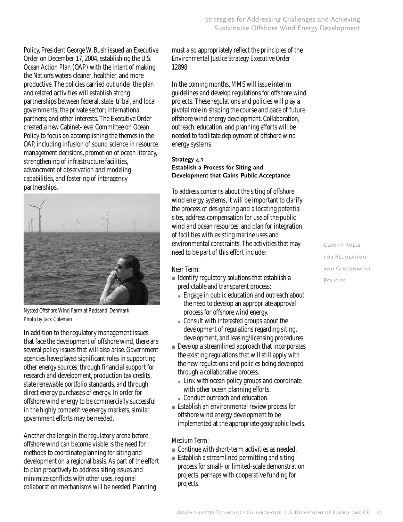Policy, President George W. Bush issued an Executive Order on December 17, 2004, establishing the U.S. Ocean Action Plan (OAP) with the intent of making the Nation's waters cleaner, healthier, and more productive. The policies carried out under the plan and related activities will establish strong partnerships between federal, state, tribal, and local governments; the private sector; international partners; and other interests. The Executive Order created a new Cabinet-level Committee on Ocean Policy to focus on accomplishing the themes in the OAP, including infusion of sound science in resource management decisions, promotion of ocean literacy, strengthening of infrastructure facilities, advancment of observation and modeling capabilities, and fostering of interagency partnerships.



Nysted Offshore Wind Farm at Rødsand, Denmark Photo by Jack Coleman

In addition to the regulatory management issues that face the development of offshore wind, there are several policy issues that will also arise. Government agencies have played significant roles in supporting other energy sources, through financial support for research and development, production tax credits, state renewable portfolio standards, and through direct energy purchases of energy. In order for offshore wind energy to be commercially successful in the highly competitive energy markets, similar government efforts may be needed.

Another challenge in the regulatory arena before offshore wind can become viable is the need for methods to coordinate planning for siting and development on a regional basis. As part of the effort to plan proactively to address siting issues and minimize conflicts with other uses, regional collaboration mechanisms will be needed. Planning

must also appropriately reflect the principles of the *Environmental Justice Strategy Executive Order 12898*.

In the coming months, MMS will issue interim guidelines and develop regulations for offshore wind projects. These regulations and policies will play a pivotal role in shaping the course and pace of future offshore wind energy development. Collaboration, outreach, education, and planning efforts will be needed to facilitate deployment of offshore wind energy systems.

#### **Strategy 4.1 Establish a Process for Siting and Development that Gains Public Acceptance**

To address concerns about the siting of offshore wind energy systems, it will be important to clarify the process of designating and allocating potential sites, address compensation for use of the public wind and ocean resources, and plan for integration of facilities with existing marine uses and environmental constraints. The activities that may need to be part of this effort include:

## *Near Term:*

- Identify regulatory solutions that establish a predictable and transparent process:
	- Engage in public education and outreach about the need to develop an appropriate approval process for offshore wind energy.
	- Consult with interested groups about the development of regulations regarding siting, development, and leasing/licensing procedures.
- Develop a streamlined approach that incorporates the existing regulations that will still apply with the new regulations and policies being developed through a collaborative process.
	- Link with ocean policy groups and coordinate with other ocean planning efforts.
	- Conduct outreach and education.
- Establish an environmental review process for offshore wind energy development to be implemented at the appropriate geographic levels.

## *Medium Term:*

- Continue with short-term activities as needed.
- Establish a streamlined permitting and siting process for small- or limited-scale demonstration projects, perhaps with cooperative funding for projects.

Clarify Rolesfor Regulation and GovernmentPolicies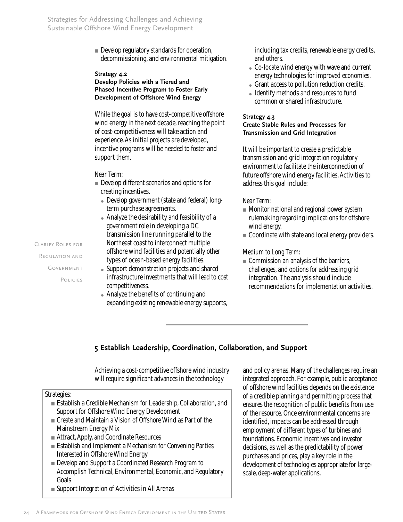■ Develop regulatory standards for operation, decommissioning, and environmental mitigation.

#### **Strategy 4.2**

#### **Develop Policies with a Tiered and Phased Incentive Program to Foster Early Development of Offshore Wind Energy**

While the goal is to have cost-competitive offshore wind energy in the next decade, reaching the point of cost-competitiveness will take action and experience. As initial projects are developed, incentive programs will be needed to foster and support them.

#### *Near Term:*

- Develop different scenarios and options for creating incentives.
	- Develop government (state and federal) longterm purchase agreements.
	- Analyze the desirability and feasibility of a government role in developing a DC transmission line running parallel to the Northeast coast to interconnect multiple offshore wind facilities and potentially other types of ocean-based energy facilities.
- Support demonstration projects and shared infrastructure investments that will lead to cost competitiveness.
- Analyze the benefits of continuing and expanding existing renewable energy supports,

including tax credits, renewable energy credits, and others.

- Co-locate wind energy with wave and current energy technologies for improved economies.
- Grant access to pollution reduction credits.
- Identify methods and resources to fund common or shared infrastructure.

### **Strategy 4.3**

## **Create Stable Rules and Processes for Transmission and Grid Integration**

It will be important to create a predictable transmission and grid integration regulatory environment to facilitate the interconnection of future offshore wind energy facilities. Activities to address this goal include:

#### *Near Term:*

- Monitor national and regional power system rulemaking regarding implications for offshore wind energy.
- Coordinate with state and local energy providers.

#### *Medium to Long Term:*

■ Commission an analysis of the barriers, challenges, and options for addressing grid integration. The analysis should include recommendations for implementation activities.

## **5 Establish Leadership, Coordination, Collaboration, and Support**

Achieving a cost-competitive offshore wind industry will require significant advances in the technology

## Strategies:

- Establish a Credible Mechanism for Leadership, Collaboration, and Support for Offshore Wind Energy Development
- Create and Maintain a Vision of Offshore Wind as Part of the Mainstream Energy Mix
- Attract, Apply, and Coordinate Resources
- Establish and Implement a Mechanism for Convening Parties Interested in Offshore Wind Energy
- Develop and Support a Coordinated Research Program to Accomplish Technical, Environmental, Economic, and Regulatory Goals
- Support Integration of Activities in All Arenas

and policy arenas. Many of the challenges require an integrated approach. For example, public acceptance of offshore wind facilities depends on the existence of a credible planning and permitting process that ensures the recognition of public benefits from use of the resource. Once environmental concerns are identified, impacts can be addressed through employment of different types of turbines and foundations. Economic incentives and investor decisions, as well as the predictability of power purchases and prices, play a key role in the development of technologies appropriate for largescale, deep-water applications.

Clarify Roles for Regulation and GOVERNMENT Policies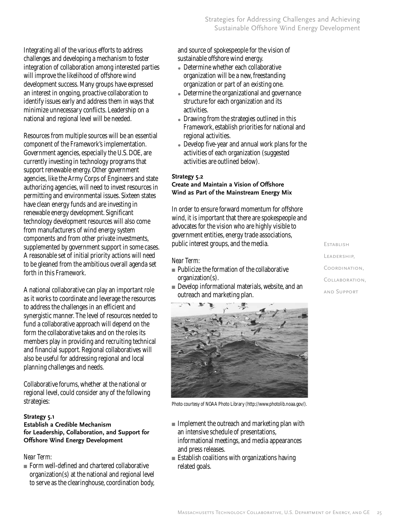Integrating all of the various efforts to address challenges and developing a mechanism to foster integration of collaboration among interested parties will improve the likelihood of offshore wind development success. Many groups have expressed an interest in ongoing, proactive collaboration to identify issues early and address them in ways that minimize unnecessary conflicts. Leadership on a national and regional level will be needed.

Resources from multiple sources will be an essential component of the *Framework*'s implementation. Government agencies, especially the U.S. DOE, are currently investing in technology programs that support renewable energy. Other government agencies, like the Army Corps of Engineers and state authorizing agencies, will need to invest resources in permitting and environmental issues. Sixteen states have clean energy funds and are investing in renewable energy development. Significant technology development resources will also come from manufacturers of wind energy system components and from other private investments, supplemented by government support in some cases. A reasonable set of initial priority actions will need to be gleaned from the ambitious overall agenda set forth in this *Framework*.

A national collaborative can play an important role as it works to coordinate and leverage the resources to address the challenges in an efficient and synergistic manner. The level of resources needed to fund a collaborative approach will depend on the form the collaborative takes and on the roles its members play in providing and recruiting technical and financial support. Regional collaboratives will also be useful for addressing regional and local planning challenges and needs.

Collaborative forums, whether at the national or regional level, could consider any of the following strategies:

#### **Strategy 5.1**

#### **Establish a Credible Mechanism for Leadership, Collaboration, and Support for Offshore Wind Energy Development**

#### *Near Term:*

■ Form well-defined and chartered collaborative organization(s) at the national and regional level to serve as the clearinghouse, coordination body, and source of spokespeople for the vision of sustainable offshore wind energy.

- $\bullet$  Determine whether each collaborative organization will be a new, freestanding organization or part of an existing one.
- Determine the organizational and governance structure for each organization and its activities.
- Drawing from the strategies outlined in this *Framework*, establish priorities for national and regional activities.
- Develop five-year and annual work plans for the activities of each organization (suggested activities are outlined below).

#### **Strategy 5.2**

#### **Create and Maintain a Vision of Offshore Wind as Part of the Mainstream Energy Mix**

In order to ensure forward momentum for offshore wind, it is important that there are spokespeople and advocates for the vision who are highly visible to government entities, energy trade associations, public interest groups, and the media.

#### *Near Term:*

- Publicize the formation of the collaborative organization(s).
- Develop informational materials, website, and an outreach and marketing plan.



Photo courtesy of NOAA Photo Library (http://www.photolib.noaa.gov/).

- Implement the outreach and marketing plan with an intensive schedule of presentations, informational meetings, and media appearances and press releases.
- Establish coalitions with organizations having related goals.

**Establish** Leadership,Coordination, Collaboration, and Support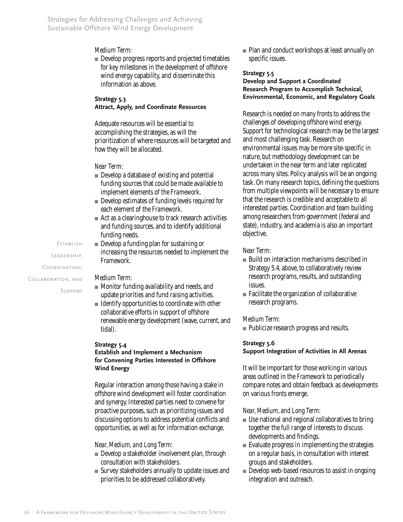#### *Medium Term:*

■ Develop progress reports and projected timetables for key milestones in the development of offshore wind energy capability, and disseminate this information as above.

#### **Strategy 5.3 Attract, Apply, and Coordinate Resources**

Adequate resources will be essential to accomplishing the strategies, as will the prioritization of where resources will be targeted and how they will be allocated.

#### *Near Term:*

- Develop a database of existing and potential funding sources that could be made available to implement elements of the *Framework*.
- Develop estimates of funding levels required for each element of the *Framework*.
- Act as a clearinghouse to track research activities and funding sources, and to identify additional funding needs.
- Develop a funding plan for sustaining or increasing the resources needed to implement the *Framework*.

#### *Medium Term:*

- Monitor funding availability and needs, and update priorities and fund raising activities.
- Identify opportunities to coordinate with other collaborative efforts in support of offshore renewable energy development (wave, current, and tidal).

#### **Strategy 5.4**

#### **Establish and Implement a Mechanism for Convening Parties Interested in Offshore Wind Energy**

Regular interaction among those having a stake in offshore wind development will foster coordination and synergy. Interested parties need to convene for proactive purposes, such as prioritizing issues and discussing options to address potential conflicts and opportunities, as well as for information exchange.

#### *Near, Medium, and Long Term:*

- Develop a stakeholder involvement plan, through consultation with stakeholders.
- Survey stakeholders annually to update issues and priorities to be addressed collaboratively.

■ Plan and conduct workshops at least annually on specific issues.

#### **Strategy 5.5**

#### **Develop and Support a Coordinated Research Program to Accomplish Technical, Environmental, Economic, and Regulatory Goals**

Research is needed on many fronts to address the challenges of developing offshore wind energy. Support for technological research may be the largest and most challenging task. Research on environmental issues may be more site-specific in nature, but methodology development can be undertaken in the near term and later replicated across many sites. Policy analysis will be an ongoing task. On many research topics, defining the questions from multiple viewpoints will be necessary to ensure that the research is credible and acceptable to all interested parties. Coordination and team building among researchers from government (federal and state), industry, and academia is also an important objective.

#### *Near Term:*

- Build on interaction mechanisms described in Strategy 5.4, above, to collaboratively review research programs, results, and outstanding issues.
- Facilitate the organization of collaborative research programs.

#### *Medium Term:*

■ Publicize research progress and results.

#### **Strategy 5.6**

#### **Support Integration of Activities in All Arenas**

It will be important for those working in various areas outlined in the *Framework* to periodically compare notes and obtain feedback as developments on various fronts emerge.

#### *Near, Medium, and Long Term:*

- Use national and regional collaboratives to bring together the full range of interests to discuss developments and findings.
- Evaluate progress in implementing the strategies on a regular basis, in consultation with interest groups and stakeholders.
- Develop web-based resources to assist in ongoing integration and outreach.

**Establish** 

Leadership,

Coordination,

Collaboration, and

Support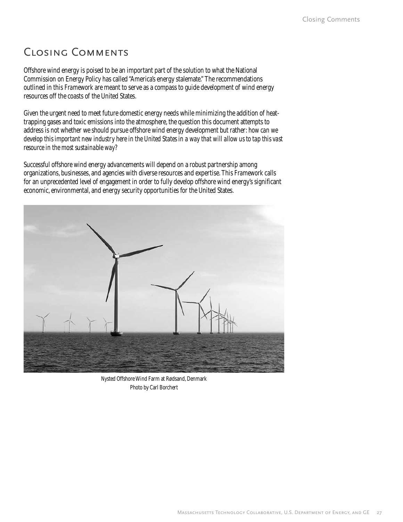# Closing Comments

Offshore wind energy is poised to be an important part of the solution to what the National Commission on Energy Policy has called "America's energy stalemate." The recommendations outlined in this *Framework* are meant to serve as a compass to guide development of wind energy resources off the coasts of the United States.

Given the urgent need to meet future domestic energy needs while minimizing the addition of heattrapping gases and toxic emissions into the atmosphere, the question this document attempts to address is not whether we should pursue offshore wind energy development but rather: *how can we develop this important new industry here in the United States in a way that will allow us to tap this vast resource in the most sustainable way?*

Successful offshore wind energy advancements will depend on a robust partnership among organizations, businesses, and agencies with diverse resources and expertise. This *Framework* calls for an unprecedented level of engagement in order to fully develop offshore wind energy's significant economic, environmental, and energy security opportunities for the United States.



Nysted Offshore Wind Farm at Rødsand, Denmark Photo by Carl Borchert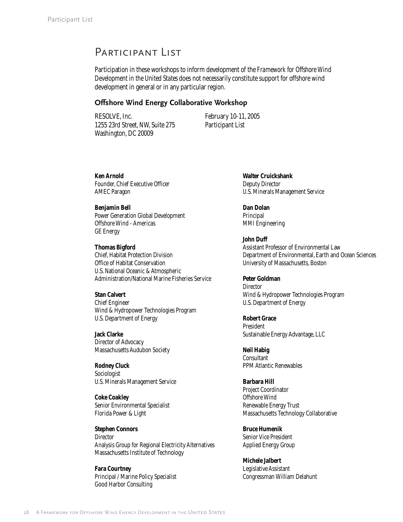## Participant List

Participation in these workshops to inform development of the *Framework for Offshore Wind Development in the United States* does not necessarily constitute support for offshore wind development in general or in any particular region.

#### **Offshore Wind Energy Collaborative Workshop**

RESOLVE, Inc. 1255 23rd Street, NW, Suite 275 Washington, DC 20009

February 10-11, 2005 Participant List

**Ken Arnold** Founder, Chief Executive Officer AMEC Paragon

**Benjamin Bell** Power Generation Global Development Offshore Wind - Americas GE Energy

#### **Thomas Bigford**

Chief, Habitat Protection Division Office of Habitat Conservation U.S. National Oceanic & Atmospheric Administration/National Marine Fisheries Service

#### **Stan Calvert**

Chief Engineer Wind & Hydropower Technologies Program U.S. Department of Energy

**Jack Clarke** Director of Advocacy Massachusetts Audubon Society

**Rodney Cluck** Sociologist U.S. Minerals Management Service

**Coke Coakley** Senior Environmental Specialist Florida Power & Light

**Stephen Connors** Director Analysis Group for Regional Electricity Alternatives Massachusetts Institute of Technology

**Fara Courtney** Principal / Marine Policy Specialist Good Harbor Consulting

**Walter Cruickshank** Deputy Director U.S. Minerals Management Service

**Dan Dolan** Principal MMI Engineering

**John Duff** Assistant Professor of Environmental Law Department of Environmental, Earth and Ocean Sciences University of Massachusetts, Boston

**Peter Goldman** Director Wind & Hydropower Technologies Program U.S. Department of Energy

**Robert Grace** President Sustainable Energy Advantage, LLC

**Neil Habig Consultant** PPM Atlantic Renewables

**Barbara Hill** Project Coordinator Offshore Wind Renewable Energy Trust Massachusetts Technology Collaborative

**Bruce Humenik** Senior Vice President Applied Energy Group

**Michele Jalbert** Legislative Assistant Congressman William Delahunt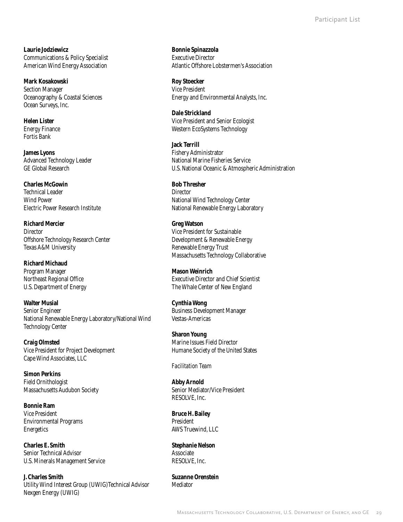**Laurie Jodziewicz** Communications & Policy Specialist American Wind Energy Association

**Mark Kosakowski** Section Manager Oceanography & Coastal Sciences Ocean Surveys, Inc.

**Helen Lister** Energy Finance Fortis Bank

**James Lyons** Advanced Technology Leader GE Global Research

**Charles McGowin** Technical Leader Wind Power Electric Power Research Institute

**Richard Mercier Director** Offshore Technology Research Center Texas A&M University

**Richard Michaud** Program Manager Northeast Regional Office U.S. Department of Energy

**Walter Musial** Senior Engineer National Renewable Energy Laboratory/National Wind Technology Center

**Craig Olmsted** Vice President for Project Development Cape Wind Associates, LLC

**Simon Perkins** Field Ornithologist Massachusetts Audubon Society

**Bonnie Ram** Vice President Environmental Programs Energetics

**Charles E. Smith** Senior Technical Advisor U.S. Minerals Management Service

**J. Charles Smith** Utility Wind Interest Group (UWIG)Technical Advisor Nexgen Energy (UWIG)

**Bonnie Spinazzola** Executive Director Atlantic Offshore Lobstermen's Association

**Roy Stoecker** Vice President Energy and Environmental Analysts, Inc.

**Dale Strickland** Vice President and Senior Ecologist Western EcoSystems Technology

**Jack Terrill** Fishery Administrator National Marine Fisheries Service U.S. National Oceanic & Atmospheric Administration

**Bob Thresher Director** National Wind Technology Center National Renewable Energy Laboratory

**Greg Watson** Vice President for Sustainable Development & Renewable Energy Renewable Energy Trust Massachusetts Technology Collaborative

**Mason Weinrich** Executive Director and Chief Scientist The Whale Center of New England

**Cynthia Wong** Business Development Manager Vestas-Americas

**Sharon Young** Marine Issues Field Director Humane Society of the United States

*Facilitation Team*

**Abby Arnold** Senior Mediator/Vice President RESOLVE, Inc.

**Bruce H. Bailey** President AWS Truewind, LLC

**Stephanie Nelson** Associate RESOLVE, Inc.

**Suzanne Orenstein** Mediator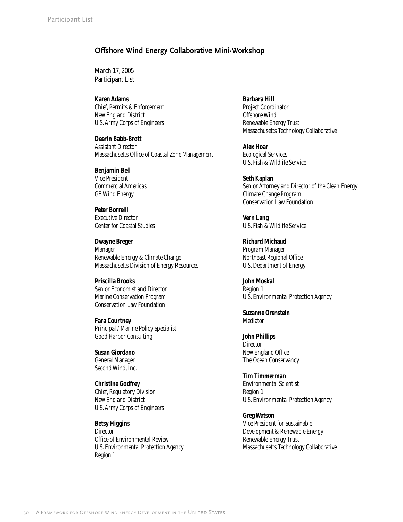### **Offshore Wind Energy Collaborative Mini-Workshop**

March 17, 2005 Participant List

**Karen Adams** Chief, Permits & Enforcement New England District U.S. Army Corps of Engineers

**Deerin Babb-Brott** Assistant Director Massachusetts Office of Coastal Zone Management

**Benjamin Bell** Vice President Commercial Americas GE Wind Energy

**Peter Borrelli** Executive Director Center for Coastal Studies

**Dwayne Breger** Manager Renewable Energy & Climate Change Massachusetts Division of Energy Resources

**Priscilla Brooks** Senior Economist and Director Marine Conservation Program Conservation Law Foundation

**Fara Courtney** Principal / Marine Policy Specialist Good Harbor Consulting

**Susan Giordano** General Manager Second Wind, Inc.

**Christine Godfrey** Chief, Regulatory Division New England District U.S. Army Corps of Engineers

**Betsy Higgins Director** Office of Environmental Review U.S. Environmental Protection Agency Region 1

**Barbara Hill** Project Coordinator Offshore Wind Renewable Energy Trust Massachusetts Technology Collaborative

**Alex Hoar** Ecological Services U.S. Fish & Wildlife Service

**Seth Kaplan** Senior Attorney and Director of the Clean Energy Climate Change Program Conservation Law Foundation

**Vern Lang** U.S. Fish & Wildlife Service

**Richard Michaud** Program Manager Northeast Regional Office U.S. Department of Energy

**John Moskal** Region 1 U.S. Environmental Protection Agency

**Suzanne Orenstein** Mediator

**John Phillips Director** New England Office The Ocean Conservancy

**Tim Timmerman** Environmental Scientist Region 1 U.S. Environmental Protection Agency

**Greg Watson** Vice President for Sustainable Development & Renewable Energy Renewable Energy Trust Massachusetts Technology Collaborative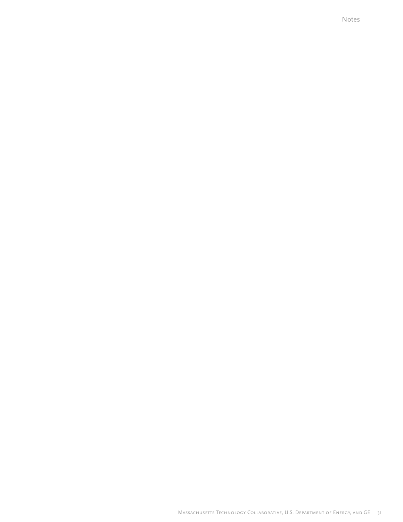Notes